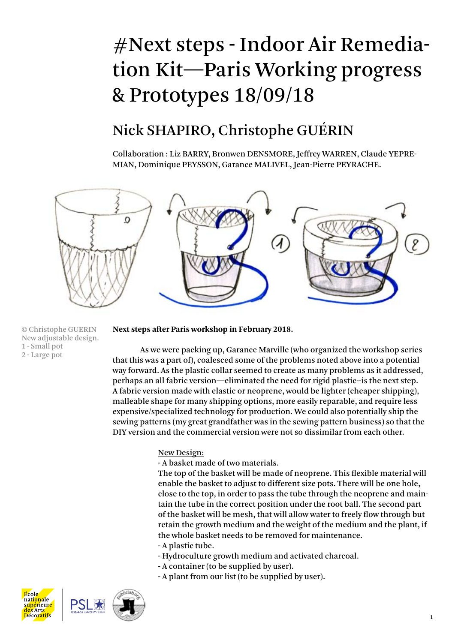# #Next steps - Indoor Air Remediation Kit—Paris Working progress & Prototypes 18/09/18

### Nick SHAPIRO, Christophe GUÉRIN

Collaboration : Liz BARRY, Bronwen DENSMORE, Jeffrey WARREN, Claude YEPRE-MIAN, Dominique PEYSSON, Garance MALIVEL, Jean-Pierre PEYRACHE.



© Christophe GUERIN New adjustable design. 1 - Small pot 2 - Large pot

### **Next steps after Paris workshop in February 2018.**

As we were packing up, Garance Marville (who organized the workshop series that this was a part of), coalesced some of the problems noted above into a potential way forward. As the plastic collar seemed to create as many problems as it addressed, perhaps an all fabric version—eliminated the need for rigid plastic--is the next step. A fabric version made with elastic or neoprene, would be lighter (cheaper shipping), malleable shape for many shipping options, more easily reparable, and require less expensive/specialized technology for production. We could also potentially ship the sewing patterns (my great grandfather was in the sewing pattern business) so that the DIY version and the commercial version were not so dissimilar from each other.

### New Design:

- A basket made of two materials.

The top of the basket will be made of neoprene. This flexible material will enable the basket to adjust to different size pots. There will be one hole, close to the top, in order to pass the tube through the neoprene and maintain the tube in the correct position under the root ball. The second part of the basket will be mesh, that will allow water to freely flow through but retain the growth medium and the weight of the medium and the plant, if the whole basket needs to be removed for maintenance. - A plastic tube.

- Hydroculture growth medium and activated charcoal.
- A container (to be supplied by user).
- A plant from our list (to be supplied by user).



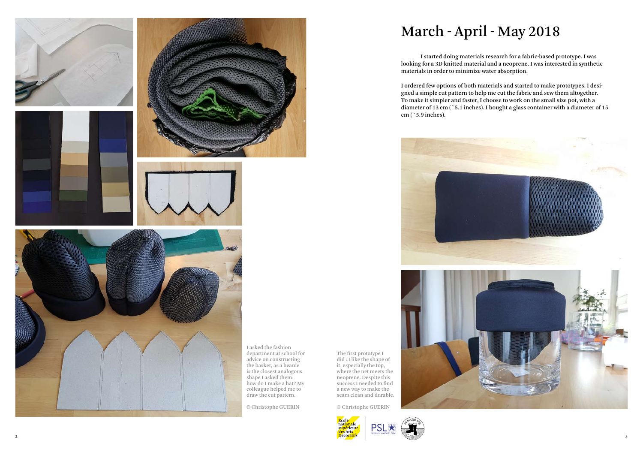



# March - April - May 2018

I started doing materials research for a fabric-based prototype. I was looking for a 3D knitted material and a neoprene. I was interested in synthetic materials in order to minimize water absorption.

I ordered few options of both materials and started to make prototypes. I designed a simple cut pattern to help me cut the fabric and sew them altogether. To make it simpler and faster, I choose to work on the small size pot, with a diameter of 13 cm (~5.1 inches). I bought a glass container with a diameter of 15 cm (~5.9 inches).



The first prototype I did : I like the shape of it, especially the top, where the net meets the neoprene. Despite this success I needed to find a new way to make the seam clean and durable.

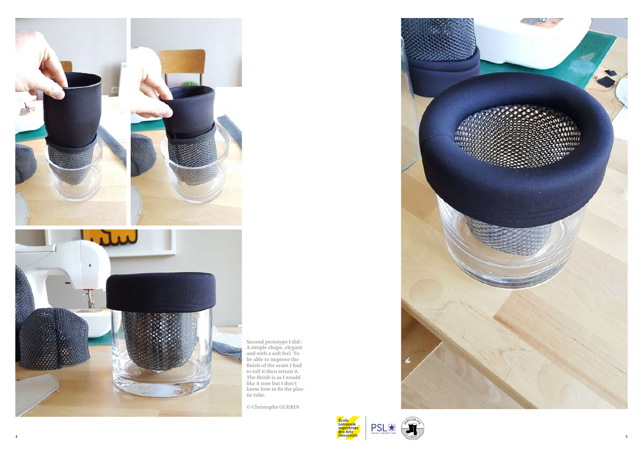4



Second prototype I did : A simple shape, elegant and with a soft feel. To be able to improve the finish of the seam I had to roll it then return it. The finish is as I would like it now but I don't know how to fix the plas tic tube.





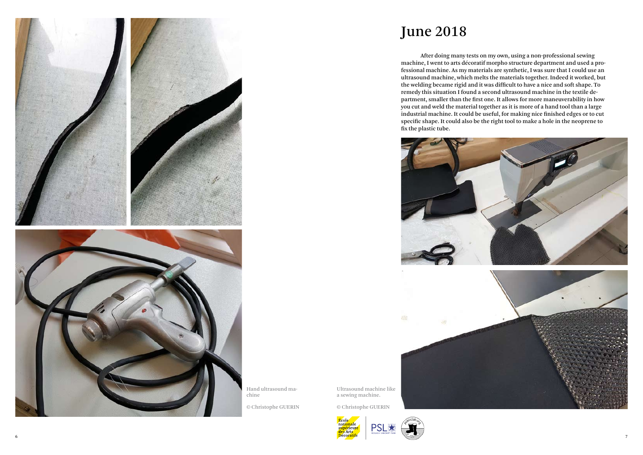



June 2018

After doing many tests on my own, using a non-professional sewing machine, I went to arts décoratif morpho structure department and used a professional machine. As my materials are synthetic, I was sure that I could use an ultrasound machine, which melts the materials together. Indeed it worked, but the welding became rigid and it was difficult to have a nice and soft shape. To remedy this situation I found a second ultrasound machine in the textile department, smaller than the first one. It allows for more maneuverability in how you cut and weld the material together as it is more of a hand tool than a large industrial machine. It could be useful, for making nice finished edges or to cut specific shape. It could also be the right tool to make a hole in the neoprene to fix the plastic tube.





Ultrasound machine like a sewing machine.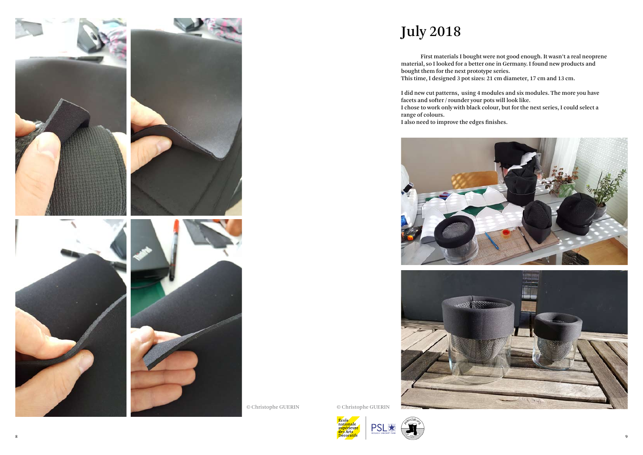

© Christophe GUERIN

July 2018

First materials I bought were not good enough. It wasn't a real neoprene material, so I looked for a better one in Germany. I found new products and bought them for the next prototype series.

This time, I designed 3 pot sizes: 21 cm diameter, 17 cm and 13 cm.

I did new cut patterns, using 4 modules and six modules. The more you have facets and softer / rounder your pots will look like. I chose to work only with black colour, but for the next series, I could select a

range of colours.





I also need to improve the edges finishes.